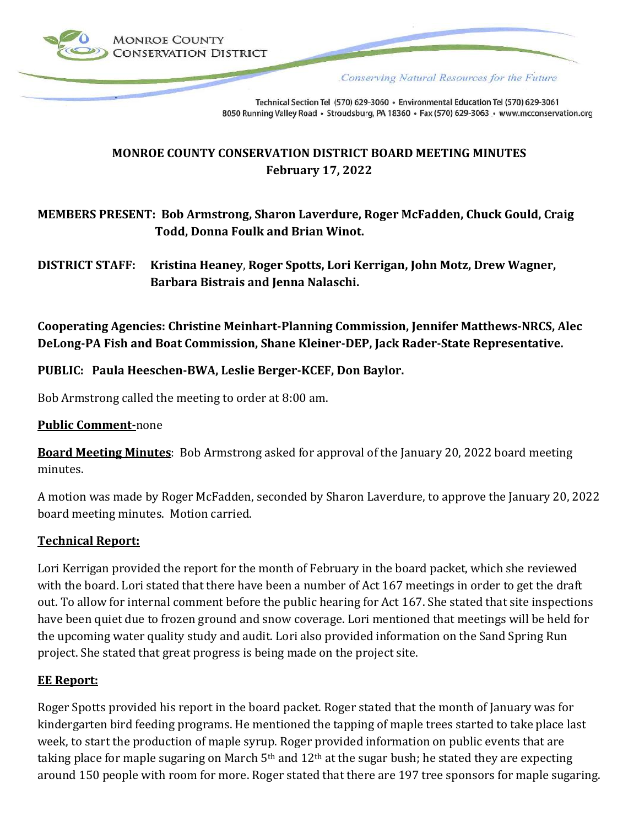

Conserving Natural Resources for the Future

Technical Section Tel (570) 629-3060 · Environmental Education Tel (570) 629-3061 8050 Running Valley Road · Stroudsburg, PA 18360 · Fax (570) 629-3063 · www.mcconservation.org

# **MONROE COUNTY CONSERVATION DISTRICT BOARD MEETING MINUTES February 17, 2022**

# **MEMBERS PRESENT: Bob Armstrong, Sharon Laverdure, Roger McFadden, Chuck Gould, Craig Todd, Donna Foulk and Brian Winot.**

**DISTRICT STAFF: Kristina Heaney**, **Roger Spotts, Lori Kerrigan, John Motz, Drew Wagner, Barbara Bistrais and Jenna Nalaschi.**

**Cooperating Agencies: Christine Meinhart-Planning Commission, Jennifer Matthews-NRCS, Alec DeLong-PA Fish and Boat Commission, Shane Kleiner-DEP, Jack Rader-State Representative.**

## **PUBLIC: Paula Heeschen-BWA, Leslie Berger-KCEF, Don Baylor.**

Bob Armstrong called the meeting to order at 8:00 am.

#### **Public Comment-**none

**Board Meeting Minutes**: Bob Armstrong asked for approval of the January 20, 2022 board meeting minutes.

A motion was made by Roger McFadden, seconded by Sharon Laverdure, to approve the January 20, 2022 board meeting minutes. Motion carried.

### **Technical Report:**

Lori Kerrigan provided the report for the month of February in the board packet, which she reviewed with the board. Lori stated that there have been a number of Act 167 meetings in order to get the draft out. To allow for internal comment before the public hearing for Act 167. She stated that site inspections have been quiet due to frozen ground and snow coverage. Lori mentioned that meetings will be held for the upcoming water quality study and audit. Lori also provided information on the Sand Spring Run project. She stated that great progress is being made on the project site.

#### **EE Report:**

Roger Spotts provided his report in the board packet. Roger stated that the month of January was for kindergarten bird feeding programs. He mentioned the tapping of maple trees started to take place last week, to start the production of maple syrup. Roger provided information on public events that are taking place for maple sugaring on March  $5<sup>th</sup>$  and  $12<sup>th</sup>$  at the sugar bush; he stated they are expecting around 150 people with room for more. Roger stated that there are 197 tree sponsors for maple sugaring.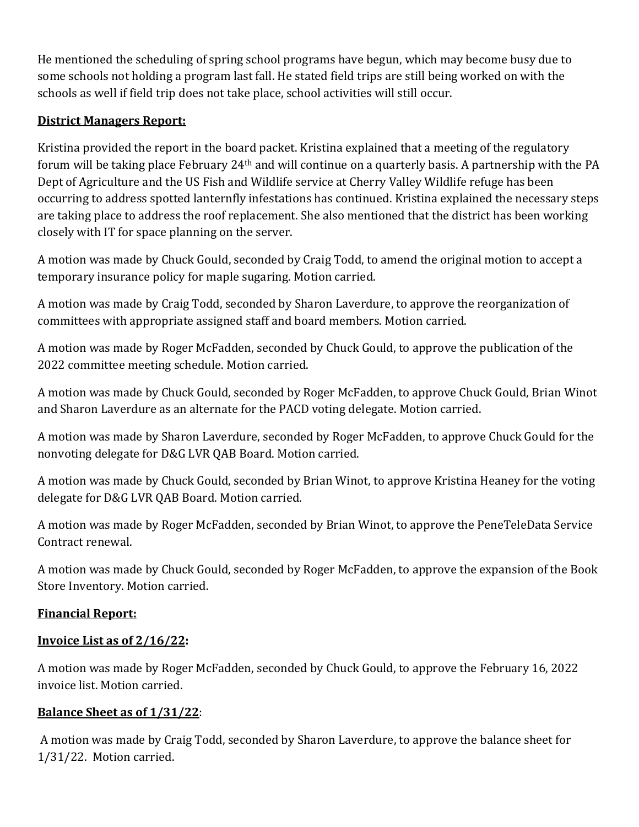He mentioned the scheduling of spring school programs have begun, which may become busy due to some schools not holding a program last fall. He stated field trips are still being worked on with the schools as well if field trip does not take place, school activities will still occur.

# **District Managers Report:**

Kristina provided the report in the board packet. Kristina explained that a meeting of the regulatory forum will be taking place February 24th and will continue on a quarterly basis. A partnership with the PA Dept of Agriculture and the US Fish and Wildlife service at Cherry Valley Wildlife refuge has been occurring to address spotted lanternfly infestations has continued. Kristina explained the necessary steps are taking place to address the roof replacement. She also mentioned that the district has been working closely with IT for space planning on the server.

A motion was made by Chuck Gould, seconded by Craig Todd, to amend the original motion to accept a temporary insurance policy for maple sugaring. Motion carried.

A motion was made by Craig Todd, seconded by Sharon Laverdure, to approve the reorganization of committees with appropriate assigned staff and board members. Motion carried.

A motion was made by Roger McFadden, seconded by Chuck Gould, to approve the publication of the 2022 committee meeting schedule. Motion carried.

A motion was made by Chuck Gould, seconded by Roger McFadden, to approve Chuck Gould, Brian Winot and Sharon Laverdure as an alternate for the PACD voting delegate. Motion carried.

A motion was made by Sharon Laverdure, seconded by Roger McFadden, to approve Chuck Gould for the nonvoting delegate for D&G LVR QAB Board. Motion carried.

A motion was made by Chuck Gould, seconded by Brian Winot, to approve Kristina Heaney for the voting delegate for D&G LVR QAB Board. Motion carried.

A motion was made by Roger McFadden, seconded by Brian Winot, to approve the PeneTeleData Service Contract renewal.

A motion was made by Chuck Gould, seconded by Roger McFadden, to approve the expansion of the Book Store Inventory. Motion carried.

# **Financial Report:**

# **Invoice List as of 2/16/22:**

A motion was made by Roger McFadden, seconded by Chuck Gould, to approve the February 16, 2022 invoice list. Motion carried.

# **Balance Sheet as of 1/31/22**:

A motion was made by Craig Todd, seconded by Sharon Laverdure, to approve the balance sheet for 1/31/22. Motion carried.